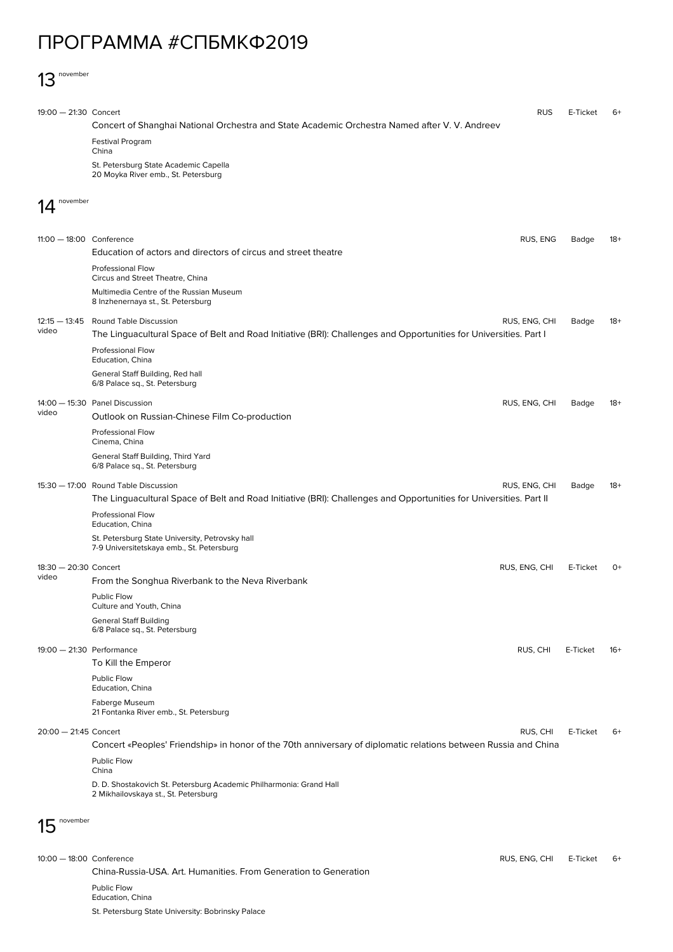## ПРОГРАММА #СПБМКФ2019

## 13 november

| $19:00 - 21:30$ Concert     |                                                                                                                    | <b>RUS</b>    | E-Ticket | 6+    |  |  |
|-----------------------------|--------------------------------------------------------------------------------------------------------------------|---------------|----------|-------|--|--|
|                             | Concert of Shanghai National Orchestra and State Academic Orchestra Named after V. V. Andreev                      |               |          |       |  |  |
|                             | <b>Festival Program</b>                                                                                            |               |          |       |  |  |
|                             | China<br>St. Petersburg State Academic Capella                                                                     |               |          |       |  |  |
|                             | 20 Moyka River emb., St. Petersburg                                                                                |               |          |       |  |  |
| november                    |                                                                                                                    |               |          |       |  |  |
|                             |                                                                                                                    |               |          |       |  |  |
|                             |                                                                                                                    |               |          |       |  |  |
| 11:00 - 18:00 Conference    |                                                                                                                    | RUS, ENG      | Badge    | 18+   |  |  |
|                             | Education of actors and directors of circus and street theatre                                                     |               |          |       |  |  |
|                             | <b>Professional Flow</b><br>Circus and Street Theatre, China                                                       |               |          |       |  |  |
|                             | Multimedia Centre of the Russian Museum                                                                            |               |          |       |  |  |
|                             | 8 Inzhenernaya st., St. Petersburg                                                                                 |               |          |       |  |  |
| $12:15 - 13:45$<br>video    | <b>Round Table Discussion</b>                                                                                      | RUS, ENG, CHI | Badge    | 18+   |  |  |
|                             | The Linguacultural Space of Belt and Road Initiative (BRI): Challenges and Opportunities for Universities. Part I  |               |          |       |  |  |
|                             | <b>Professional Flow</b><br>Education, China                                                                       |               |          |       |  |  |
|                             | General Staff Building, Red hall                                                                                   |               |          |       |  |  |
|                             | 6/8 Palace sq., St. Petersburg                                                                                     |               |          |       |  |  |
|                             | 14:00 - 15:30 Panel Discussion                                                                                     | RUS, ENG, CHI | Badge    | 18+   |  |  |
| video                       | Outlook on Russian-Chinese Film Co-production                                                                      |               |          |       |  |  |
|                             | Professional Flow<br>Cinema, China                                                                                 |               |          |       |  |  |
|                             | General Staff Building, Third Yard<br>6/8 Palace sq., St. Petersburg                                               |               |          |       |  |  |
|                             | 15:30 - 17:00 Round Table Discussion                                                                               | RUS, ENG, CHI | Badge    | 18+   |  |  |
|                             | The Linguacultural Space of Belt and Road Initiative (BRI): Challenges and Opportunities for Universities. Part II |               |          |       |  |  |
|                             | Professional Flow<br>Education, China                                                                              |               |          |       |  |  |
|                             | St. Petersburg State University, Petrovsky hall<br>7-9 Universitetskaya emb., St. Petersburg                       |               |          |       |  |  |
| 18:30 - 20:30 Concert       |                                                                                                                    | RUS, ENG, CHI | E-Ticket | $O+$  |  |  |
| video                       | From the Songhua Riverbank to the Neva Riverbank                                                                   |               |          |       |  |  |
|                             | Public Flow<br>Culture and Youth, China                                                                            |               |          |       |  |  |
|                             | <b>General Staff Building</b>                                                                                      |               |          |       |  |  |
|                             | 6/8 Palace sq., St. Petersburg                                                                                     |               |          |       |  |  |
| $19:00 - 21:30$ Performance |                                                                                                                    | RUS, CHI      | E-Ticket | $16+$ |  |  |
|                             | To Kill the Emperor                                                                                                |               |          |       |  |  |
|                             | Public Flow<br>Education, China                                                                                    |               |          |       |  |  |
|                             | Faberge Museum<br>21 Fontanka River emb., St. Petersburg                                                           |               |          |       |  |  |
| 20:00 - 21:45 Concert       |                                                                                                                    | RUS, CHI      | E-Ticket | 6+    |  |  |
|                             | Concert «Peoples' Friendship» in honor of the 70th anniversary of diplomatic relations between Russia and China    |               |          |       |  |  |
|                             | <b>Public Flow</b>                                                                                                 |               |          |       |  |  |
|                             | China                                                                                                              |               |          |       |  |  |
|                             | D. D. Shostakovich St. Petersburg Academic Philharmonia: Grand Hall<br>2 Mikhailovskaya st., St. Petersburg        |               |          |       |  |  |
| november                    |                                                                                                                    |               |          |       |  |  |
|                             |                                                                                                                    |               |          |       |  |  |
| 10:00 - 18:00 Conference    |                                                                                                                    | RUS, ENG, CHI | E-Ticket | 6+    |  |  |

China-Russia-USA. Art. Humanities. From Generation to Generation Public Flow Education, China St. Petersburg State University: Bobrinsky Palace